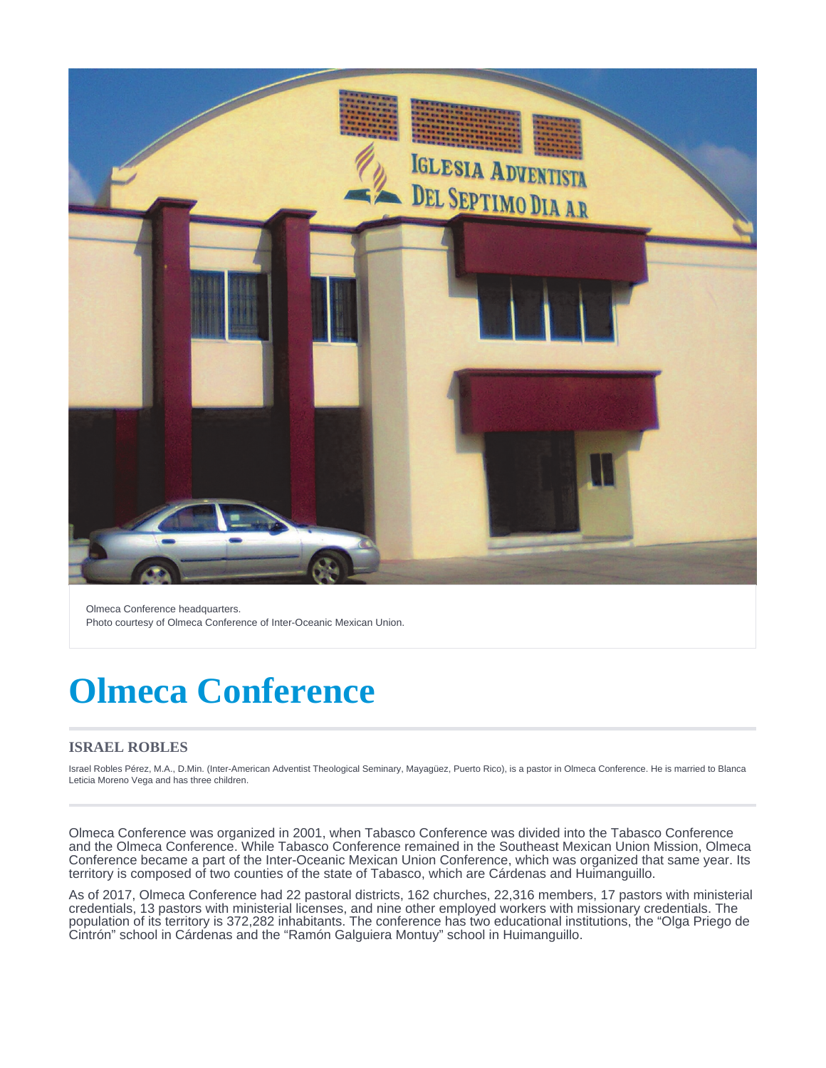

Olmeca Conference headquarters. Photo courtesy of Olmeca Conference of Inter-Oceanic Mexican Union.

# **Olmeca Conference**

#### **ISRAEL ROBLES**

Israel Robles Pérez, M.A., D.Min. (Inter-American Adventist Theological Seminary, Mayagüez, Puerto Rico), is a pastor in Olmeca Conference. He is married to Blanca Leticia Moreno Vega and has three children.

Olmeca Conference was organized in 2001, when Tabasco Conference was divided into the Tabasco Conference and the Olmeca Conference. While Tabasco Conference remained in the Southeast Mexican Union Mission, Olmeca Conference became a part of the Inter-Oceanic Mexican Union Conference, which was organized that same year. Its territory is composed of two counties of the state of Tabasco, which are Cárdenas and Huimanguillo.

As of 2017, Olmeca Conference had 22 pastoral districts, 162 churches, 22,316 members, 17 pastors with ministerial credentials, 13 pastors with ministerial licenses, and nine other employed workers with missionary credentials. The population of its territory is 372,282 inhabitants. The conference has two educational institutions, the "Olga Priego de Cintrón" school in Cárdenas and the "Ramón Galguiera Montuy" school in Huimanguillo.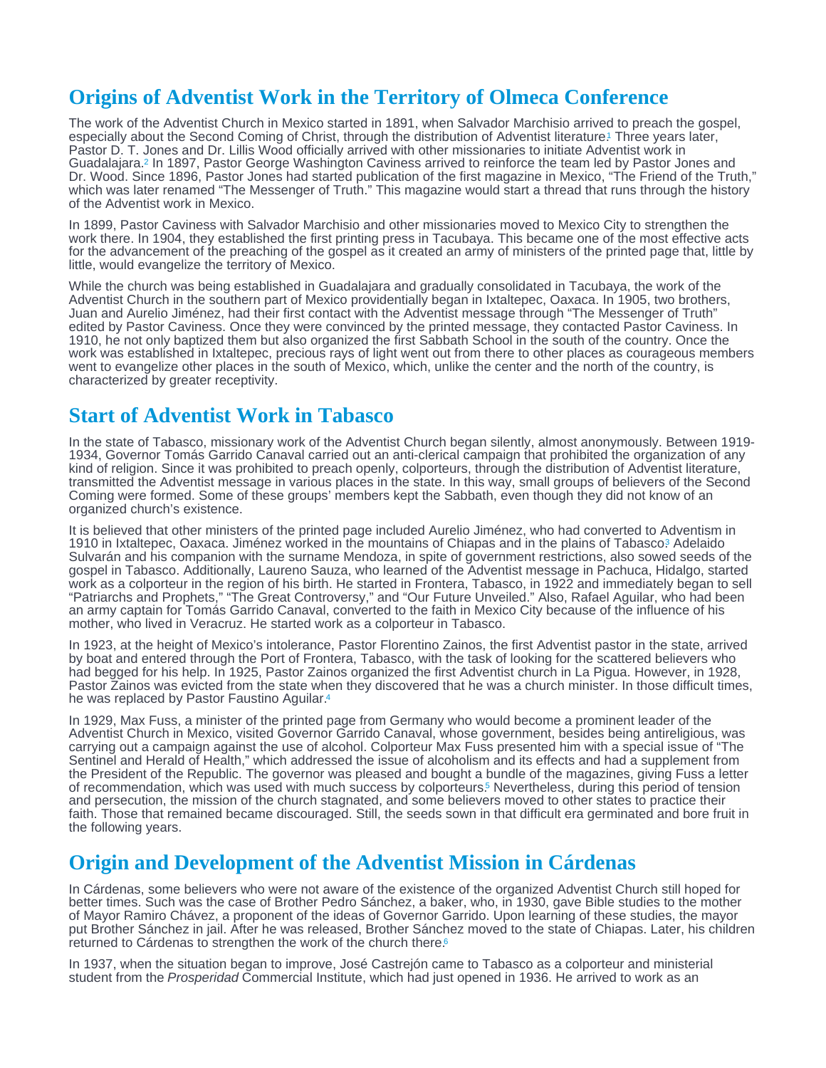## <span id="page-1-0"></span>Origins of Adventist Work in the Territory of Olmeca Conference

The work of the Adventist Church in Mexico started in 1891, when Salvador Marchisio arrived to preach the gospel, especially about the Second Coming of Christ, through the distribution of Adventist literature[.](#page-3-0) Three years later, Pastor D. T. Jones and Dr. Lillis Wood officially arrived with other missionaries to initiate Adventist work in Guadalajara[.](#page-3-0)<sup>2</sup> In 1897, Pastor George Washington Caviness arrived to reinforce the team led by Pastor Jones and Dr. Wood. Since 1896, Pastor Jones had started publication of the first magazine in Mexico, "The Friend of the Truth," which was later renamed "The Messenger of Truth." This magazine would start a thread that runs through the history of the Adventist work in Mexico.

In 1899, Pastor Caviness with Salvador Marchisio and other missionaries moved to Mexico City to strengthen the work there. In 1904, they established the first printing press in Tacubaya. This became one of the most effective acts for the advancement of the preaching of the gospel as it created an army of ministers of the printed page that, little by little, would evangelize the territory of Mexico.

While the church was being established in Guadalajara and gradually consolidated in Tacubaya, the work of the Adventist Church in the southern part of Mexico providentially began in Ixtaltepec, Oaxaca. In 1905, two brothers, Juan and Aurelio Jiménez, had their first contact with the Adventist message through "The Messenger of Truth" edited by Pastor Caviness. Once they were convinced by the printed message, they contacted Pastor Caviness. In 1910, he not only baptized them but also organized the first Sabbath School in the south of the country. Once the work was established in Ixtaltepec, precious rays of light went out from there to other places as courageous members went to evangelize other places in the south of Mexico, which, unlike the center and the north of the country, is characterized by greater receptivity.

#### Start of Adventist Work in Tabasco

In the state of Tabasco, missionary work of the Adventist Church began silently, almost anonymously. Between 1919- 1934, Governor Tomás Garrido Canaval carried out an anti-clerical campaign that prohibited the organization of any kind of religion. Since it was prohibited to preach openly, colporteurs, through the distribution of Adventist literature, transmitted the Adventist message in various places in the state. In this way, small groups of believers of the Second Coming were formed. Some of these groups' members kept the Sabbath, even though they did not know of an organized church's existence.

It is believed that other ministers of the printed page included Aurelio Jiménez, who had converted to Adventism in 1910 in Ixtaltepec, Oaxaca[.](#page-3-0) Jiménez worked in the mountains of Chiapas and in the plains of Tabasco<sup>3</sup> Adelaido Sulvarán and his companion with the surname Mendoza, in spite of government restrictions, also sowed seeds of the gospel in Tabasco. Additionally, Laureno Sauza, who learned of the Adventist message in Pachuca, Hidalgo, started work as a colporteur in the region of his birth. He started in Frontera, Tabasco, in 1922 and immediately began to sell "Patriarchs and Prophets," "The Great Controversy," and "Our Future Unveiled." Also, Rafael Aguilar, who had been an army captain for Tomás Garrido Canaval, converted to the faith in Mexico City because of the influence of his mother, who lived in Veracruz. He started work as a colporteur in Tabasco.

In 1923, at the height of Mexico's intolerance, Pastor Florentino Zainos, the first Adventist pastor in the state, arrived by boat and entered through the Port of Frontera, Tabasco, with the task of looking for the scattered believers who had begged for his help. In 1925, Pastor Zainos organized the first Adventist church in La Pigua. However, in 1928, Pastor Zainos was evicted from the state when they discovered that he was a church minister. In those difficult times, he was replaced by Pastor Faustino Aguilar.[4](#page-3-0)

In 1929, Max Fuss, a minister of the printed page from Germany who would become a prominent leader of the Adventist Church in Mexico, visited Governor Garrido Canaval, whose government, besides being antireligious, was carrying out a campaign against the use of alcohol. Colporteur Max Fuss presented him with a special issue of "The Sentinel and Herald of Health," which addressed the issue of alcoholism and its effects and had a supplement from the President of the Republic. The governor was pleased and bought a bundle of the magazines, giving Fuss a letter of recommendation, which was used with much success by colporteurs[.](#page-3-0)<sup>5</sup> Nevertheless, during this period of tension and persecution, the mission of the church stagnated, and some believers moved to other states to practice their faith. Those that remained became discouraged. Still, the seeds sown in that difficult era germinated and bore fruit in the following years.

### Origin and Development of the Adventist Mission in Cárdenas

In Cárdenas, some believers who were not aware of the existence of the organized Adventist Church still hoped for better times. Such was the case of Brother Pedro Sánchez, a baker, who, in 1930, gave Bible studies to the mother of Mayor Ramiro Chávez, a proponent of the ideas of Governor Garrido. Upon learning of these studies, the mayor put Brother Sánchez in jail. After he was released, Brother Sánchez moved to the state of Chiapas. Later, his children returned to Cárdenas to strengthen the work of the church there.<sup>[6](#page-3-0)</sup>

In 1937, when the situation began to improve, José Castrejón came to Tabasco as a colporteur and ministerial student from the Prosperidad Commercial Institute, which had just opened in 1936. He arrived to work as an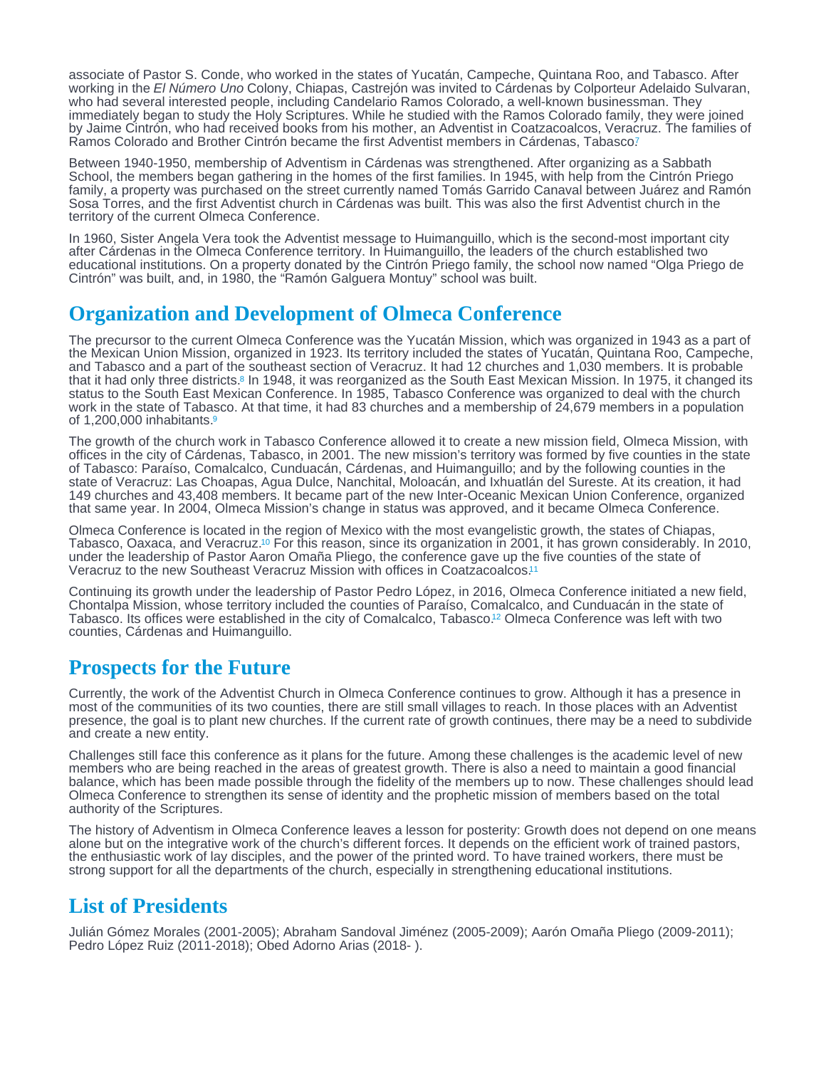<span id="page-2-0"></span>associate of Pastor S. Conde, who worked in the states of Yucatán, Campeche, Quintana Roo, and Tabasco. After working in the El Número Uno Colony, Chiapas, Castrejón was invited to Cárdenas by Colporteur Adelaido Sulvaran, who had several interested people, including Candelario Ramos Colorado, a well-known businessman. They immediately began to study the Holy Scriptures. While he studied with the Ramos Colorado family, they were joined by Jaime Cintrón, who had received books from his mother, an Adventist in Coatzacoalcos, Veracruz. The families of Ramos Colorado and Brother Cintrón became the first Adventist members in Cárdenas, Tabasco?

Between 1940-1950, membership of Adventism in Cárdenas was strengthened. After organizing as a Sabbath School, the members began gathering in the homes of the first families. In 1945, with help from the Cintrón Priego family, a property was purchased on the street currently named Tomás Garrido Canaval between Juárez and Ramón Sosa Torres, and the first Adventist church in Cárdenas was built. This was also the first Adventist church in the territory of the current Olmeca Conference.

In 1960, Sister Angela Vera took the Adventist message to Huimanguillo, which is the second-most important city after Cárdenas in the Olmeca Conference territory. In Huimanguillo, the leaders of the church established two educational institutions. On a property donated by the Cintrón Priego family, the school now named "Olga Priego de Cintrón" was built, and, in 1980, the "Ramón Galguera Montuy" school was built.

### Organization and Development of Olmeca Conference

The precursor to the current Olmeca Conference was the Yucatán Mission, which was organized in 1943 as a part of the Mexican Union Mission, organized in 1923. Its territory included the states of Yucatán, Quintana Roo, Campeche, and Tabasco and a part of the southeast section of Veracruz. It had 12 churches and 1,030 members. It is probable that it had only three districts[.](#page-3-0)<sup>8</sup> In 1948, it was reorganized as the South East Mexican Mission. In 1975, it changed its status to the South East Mexican Conference. In 1985, Tabasco Conference was organized to deal with the church work in the state of Tabasco. At that time, it had 83 churches and a membership of 24,679 members in a population of 1,200,000 inhabitants. [9](#page-3-0)

The growth of the church work in Tabasco Conference allowed it to create a new mission field, Olmeca Mission, with offices in the city of Cárdenas, Tabasco, in 2001. The new mission's territory was formed by five counties in the state of Tabasco: Paraíso, Comalcalco, Cunduacán, Cárdenas, and Huimanguillo; and by the following counties in the state of Veracruz: Las Choapas, Agua Dulce, Nanchital, Moloacán, and Ixhuatlán del Sureste. At its creation, it had 149 churches and 43,408 members. It became part of the new Inter-Oceanic Mexican Union Conference, organized that same year. In 2004, Olmeca Mission's change in status was approved, and it became Olmeca Conference.

Olmeca Conference is located in the region of Mexico with the most evangelistic growth, the states of Chiapas, Tabasco, Oaxaca, and Veracruz[.](#page-3-0)<sup>10</sup> For this reason, since its organization in 2001, it has grown considerably. In 2010, under the leadership of Pastor Aaron Omaña Pliego, the conference gave up the five counties of the state of Veracruz to the new Southeast Veracruz Mission with offices in Coatzacoalcos. [11](#page-3-0)

Continuing its growth under the leadership of Pastor Pedro López, in 2016, Olmeca Conference initiated a new field, Chontalpa Mission, whose territory included the counties of Paraíso, Comalcalco, and Cunduacán in the state of Tabasco. Its offices were established in the city of Comalcalco, Tabasco.<sup>12</sup> Olmeca Conference was left with two counties, Cárdenas and Huimanguillo.

### Prospects for the Future

Currently, the work of the Adventist Church in Olmeca Conference continues to grow. Although it has a presence in most of the communities of its two counties, there are still small villages to reach. In those places with an Adventist presence, the goal is to plant new churches. If the current rate of growth continues, there may be a need to subdivide and create a new entity.

Challenges still face this conference as it plans for the future. Among these challenges is the academic level of new members who are being reached in the areas of greatest growth. There is also a need to maintain a good financial balance, which has been made possible through the fidelity of the members up to now. These challenges should lead Olmeca Conference to strengthen its sense of identity and the prophetic mission of members based on the total authority of the Scriptures.

The history of Adventism in Olmeca Conference leaves a lesson for posterity: Growth does not depend on one means alone but on the integrative work of the church's different forces. It depends on the efficient work of trained pastors, the enthusiastic work of lay disciples, and the power of the printed word. To have trained workers, there must be strong support for all the departments of the church, especially in strengthening educational institutions.

### List of Presidents

Julián Gómez Morales (2001-2005); Abraham Sandoval Jiménez (2005-2009); Aarón Omaña Pliego (2009-2011); Pedro López Ruiz (2011-2018); Obed Adorno Arias (2018- ).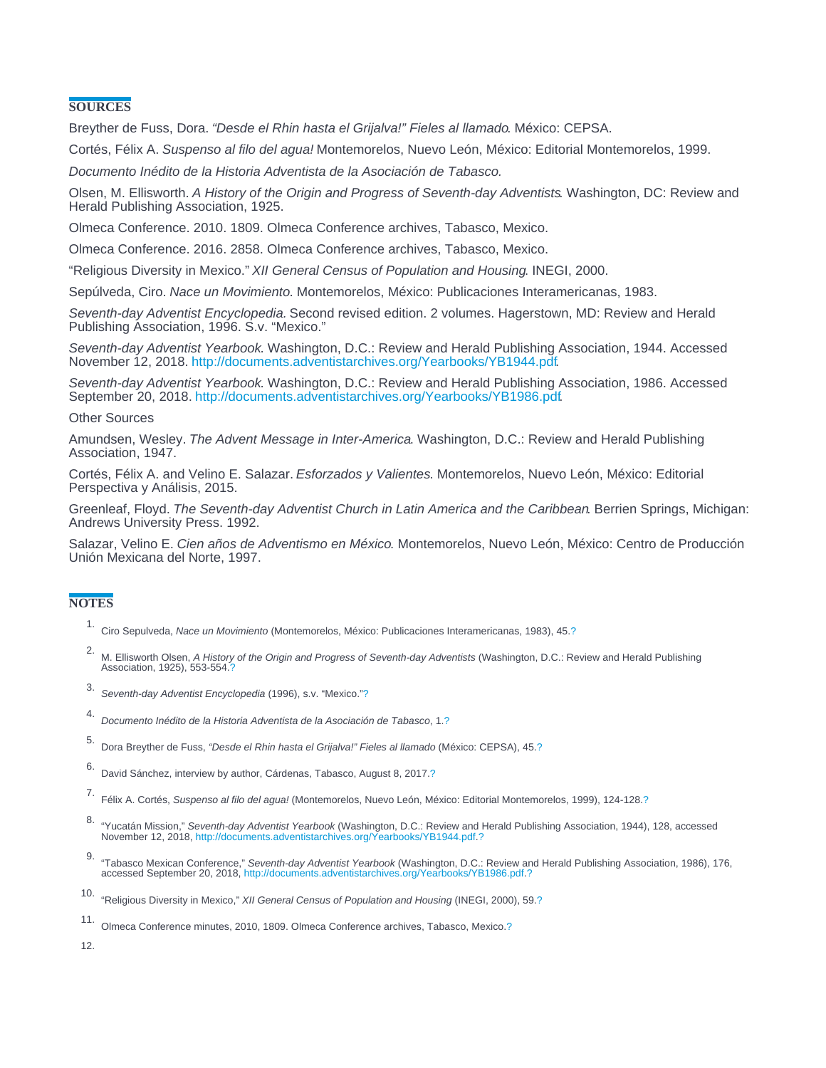#### <span id="page-3-0"></span>**SOURCES**

Breyther de Fuss, Dora. "Desde el Rhin hasta el Grijalva!" Fieles al llamado. México: CEPSA.

Cortés, Félix A. Suspenso al filo del agua! Montemorelos, Nuevo León, México: Editorial Montemorelos, 1999.

Documento Inédito de la Historia Adventista de la Asociación de Tabasco.

Olsen, M. Ellisworth. A History of the Origin and Progress of Seventh-day Adventists. Washington, DC: Review and Herald Publishing Association, 1925.

Olmeca Conference. 2010. 1809. Olmeca Conference archives, Tabasco, Mexico.

Olmeca Conference. 2016. 2858. Olmeca Conference archives, Tabasco, Mexico.

"Religious Diversity in Mexico." XII General Census of Population and Housing. INEGI, 2000.

Sepúlveda, Ciro. Nace un Movimiento. Montemorelos, México: Publicaciones Interamericanas, 1983.

Seventh-day Adventist Encyclopedia. Second revised edition. 2 volumes. Hagerstown, MD: Review and Herald Publishing Association, 1996. S.v. "Mexico."

Seventh-day Adventist Yearbook. Washington, D.C.: Review and Herald Publishing Association, 1944. Accessed November 12, 2018. [http://documents.adventistarchives.org/Yearbooks/YB1944.pdf.](http://documents.adventistarchives.org/Yearbooks/YB1944.pdf)

Seventh-day Adventist Yearbook. Washington, D.C.: Review and Herald Publishing Association, 1986. Accessed September 20, 2018. [http://documents.adventistarchives.org/Yearbooks/YB1986.pdf.](http://documents.adventistarchives.org/Yearbooks/YB1986.pdf)

#### Other Sources

Amundsen, Wesley. The Advent Message in Inter-America. Washington, D.C.: Review and Herald Publishing Association, 1947.

Cortés, Félix A. and Velino E. Salazar. Esforzados y Valientes. Montemorelos, Nuevo León, México: Editorial Perspectiva y Análisis, 2015.

Greenleaf, Floyd. The Seventh-day Adventist Church in Latin America and the Caribbean. Berrien Springs, Michigan: Andrews University Press. 1992.

Salazar, Velino E. Cien años de Adventismo en México. Montemorelos, Nuevo León, México: Centro de Producción Unión Mexicana del Norte, 1997.

#### **NOTES**

- 1. Ciro Sepulveda, Nace un Movimiento (Montemorelos, México: Publicaciones Interamericanas, 1983), 45[.?](#page-1-0)
- 2. M. Ellisworth Olsen, A History of the Origin and Progress of Seventh-day Adventists (Washington, D.C.: Review and Herald Publishing Association, 1925), 553-554[.?](#page-1-0)
- 3. Seventh-day Adventist Encyclopedia (1996), s.v. "Mexico.["?](#page-1-0)
- 4. Documento Inédito de la Historia Adventista de la Asociación de Tabasco, 1[.?](#page-1-0)
- 5. Dora Breyther de Fuss, "Desde el Rhin hasta el Grijalva!" Fieles al llamado (México: CEPSA), 45[.?](#page-1-0)
- 6. David Sánchez, interview by author, Cárdenas, Tabasco, August 8, 2017.[?](#page-1-0)
- 7. Félix A. Cortés, Suspenso al filo del agua! (Montemorelos, Nuevo León, México: Editorial Montemorelos, 1999), 124-128.[?](#page-2-0)
- 8. "Yucatán Mission," Seventh-day Adventist Yearbook (Washington, D.C.: Review and Herald Publishing Association, 1944), 128, accessed November 12, 2018, [http://documents.adventistarchives.org/Yearbooks/YB1944.pdf.](http://documents.adventistarchives.org/Yearbooks/YB1944.pdf)[?](#page-2-0)
- 9. "Tabasco Mexican Conference," Seventh-day Adventist Yearbook (Washington, D.C.: Review and Herald Publishing Association, 1986), 176,<br>"accessed September 20, 2018, http://documents.adventistarchives.org/Yearbooks/YB1986

11. Olmeca Conference minutes, 2010, 1809. Olmeca Conference archives, Tabasco, Mexico.[?](#page-2-0)

12.

<sup>10.</sup> "Religious Diversity in Mexico," XII General Census of Population and Housing (INEGI, 2000), 59[.?](#page-2-0)